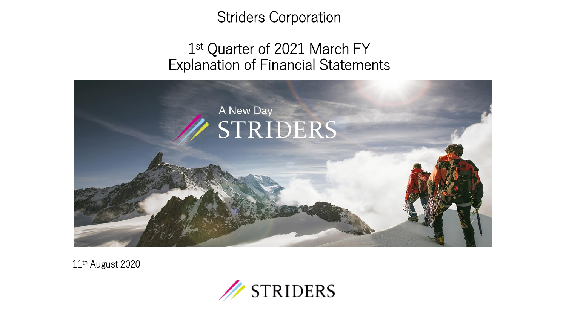Striders Corporation

#### 1st Quarter of 2021 March FY Explanation of Financial Statements



11th August 2020

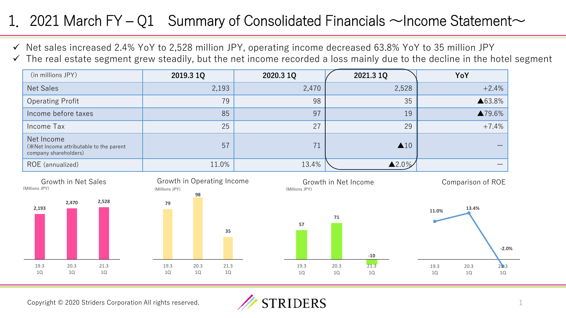# 1. 2021 March FY – Q1 Summary of Consolidated Financials  $\sim$  Income Statement $\sim$

✓ Net sales increased 2.4% YoY to 2,528 million JPY, operating income decreased 63.8% YoY to 35 million JPY

 $\checkmark$  The real estate segment grew steadily, but the net income recorded a loss mainly due to the decline in the hotel segment

| (in millions JPY)                                                              | 2019.3 1Q | 2020.3 1Q | 2021.3 1Q        | YoY     |
|--------------------------------------------------------------------------------|-----------|-----------|------------------|---------|
| Net Sales                                                                      | 2,193     | 2,470     | 2,528            | $+2.4%$ |
| <b>Operating Profit</b>                                                        | 79        | 98        | 35               | ▲63.8%  |
| Income before taxes                                                            | 85        | 97        | 19               | ▲79.6%  |
| Income Tax                                                                     | 25        | 27        | 29               | $+7.4%$ |
| Net Income<br>(※Net Income attributable to the parent<br>company shareholders) | 57        | 71        | $\triangle$ 10   |         |
| ROE (annualized)                                                               | 11.0%     | 13.4%     | $\triangle$ 2.0% |         |









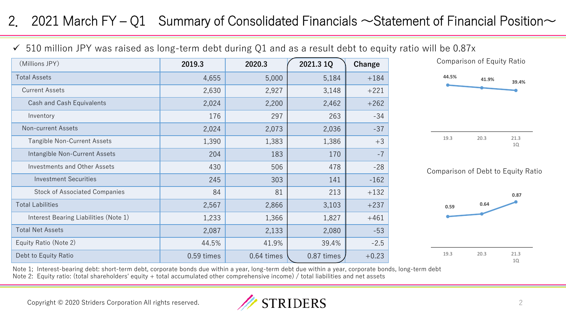#### 2. 2021 March FY – Q1 Summary of Consolidated Financials  $\sim$ Statement of Financial Position $\sim$

#### $\checkmark$  510 million JPY was raised as long-term debt during Q1 and as a result debt to equity ratio will be 0.87x

| (Millions JPY)                        | 2019.3     | 2020.3     | 2021.3 1Q  | Change  |
|---------------------------------------|------------|------------|------------|---------|
| <b>Total Assets</b>                   | 4,655      | 5,000      | 5,184      | $+184$  |
| <b>Current Assets</b>                 | 2,630      | 2,927      | 3,148      | $+221$  |
| Cash and Cash Equivalents             | 2,024      | 2,200      | 2,462      | $+262$  |
| Inventory                             | 176        | 297        | 263        | $-34$   |
| Non-current Assets                    | 2,024      | 2,073      | 2,036      | $-37$   |
| Tangible Non-Current Assets           | 1,390      | 1,383      | 1,386      | $+3$    |
| Intangible Non-Current Assets         | 204        | 183        | 170        | $-7$    |
| Investments and Other Assets          | 430        | 506        | 478        | $-28$   |
| <b>Investment Securities</b>          | 245        | 303        | 141        | $-162$  |
| <b>Stock of Associated Companies</b>  | 84         | 81         | 213        | $+132$  |
| <b>Total Labilities</b>               | 2,567      | 2,866      | 3,103      | $+237$  |
| Interest Bearing Liabilities (Note 1) | 1,233      | 1,366      | 1,827      | $+461$  |
| <b>Total Net Assets</b>               | 2,087      | 2,133      | 2,080      | $-53$   |
| Equity Ratio (Note 2)                 | 44.5%      | 41.9%      | 39.4%      | $-2.5$  |
| Debt to Equity Ratio                  | 0.59 times | 0.64 times | 0.87 times | $+0.23$ |



Comparison of Debt to Equity Ratio



Note 1; Interest-bearing debt: short-term debt, corporate bonds due within a year, long-term debt due within a year, corporate bonds, long-term debt Note 2: Equity ratio: (total shareholders' equity + total accumulated other comprehensive income) / total liabilities and net assets

Copyright © 2020 Striders Corporation All rights reserved.

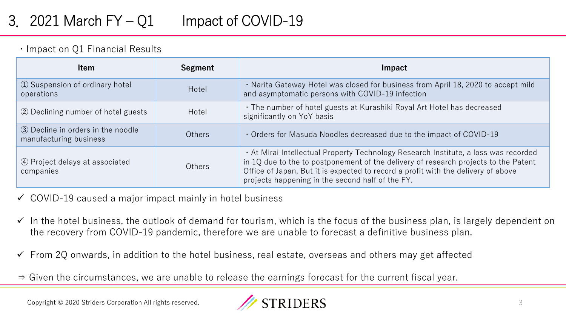#### ・Impact on Q1 Financial Results

| <b>Item</b>                                                 | Segment       | Impact                                                                                                                                                                                                                                                                                                              |
|-------------------------------------------------------------|---------------|---------------------------------------------------------------------------------------------------------------------------------------------------------------------------------------------------------------------------------------------------------------------------------------------------------------------|
| 1 Suspension of ordinary hotel<br>operations                | Hotel         | . Narita Gateway Hotel was closed for business from April 18, 2020 to accept mild<br>and asymptomatic persons with COVID-19 infection                                                                                                                                                                               |
| 2 Declining number of hotel guests                          | Hotel         | • The number of hotel guests at Kurashiki Royal Art Hotel has decreased<br>significantly on YoY basis                                                                                                                                                                                                               |
| 3 Decline in orders in the noodle<br>manufacturing business | <b>Others</b> | Orders for Masuda Noodles decreased due to the impact of COVID-19                                                                                                                                                                                                                                                   |
| 4 Project delays at associated<br>companies                 | Others        | . At Mirai Intellectual Property Technology Research Institute, a loss was recorded<br>in 1Q due to the to postponement of the delivery of research projects to the Patent<br>Office of Japan, But it is expected to record a profit with the delivery of above<br>projects happening in the second half of the FY. |

- $\checkmark$  COVID-19 caused a major impact mainly in hotel business
- $\checkmark$  In the hotel business, the outlook of demand for tourism, which is the focus of the business plan, is largely dependent on the recovery from COVID-19 pandemic, therefore we are unable to forecast a definitive business plan.
- $\checkmark$  From 2Q onwards, in addition to the hotel business, real estate, overseas and others may get affected
- ⇒ Given the circumstances, we are unable to release the earnings forecast for the current fiscal year.

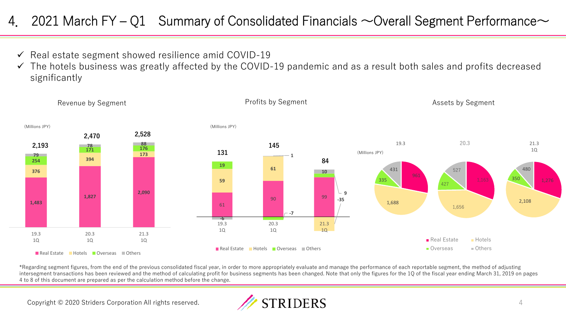#### 4. 2021 March FY – Q1 Summary of Consolidated Financials  $\sim$  Overall Segment Performance $\sim$

- $\checkmark$  Real estate segment showed resilience amid COVID-19
- $\checkmark$  The hotels business was greatly affected by the COVID-19 pandemic and as a result both sales and profits decreased significantly



\*Regarding segment figures, from the end of the previous consolidated fiscal year, in order to more appropriately evaluate and manage the performance of each reportable segment, the method of adjusting intersegment transactions has been reviewed and the method of calculating profit for business segments has been changed. Note that only the figures for the 1Q of the fiscal year ending March 31, 2019 on pages 4 to 8 of this document are prepared as per the calculation method before the change.

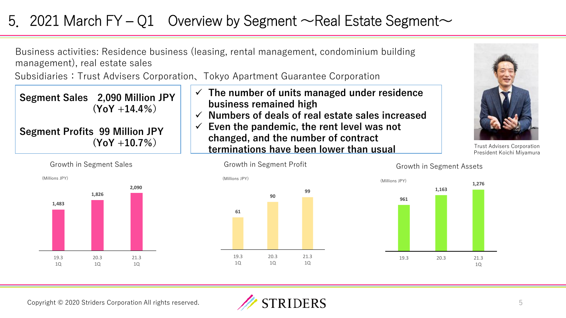## 5. 2021 March FY – Q1 Overview by Segment  $\sim$  Real Estate Segment $\sim$

Business activities: Residence business (leasing, rental management, condominium building management), real estate sales

Subsidiaries:Trust Advisers Corporation、Tokyo Apartment Guarantee Corporation

Growth in Segment Sales Growth in Segment Profit

**Segment Sales 2,090 Million JPY**  $(Y_0Y + 14.4\%)$ 

**Segment Profits 99 Million JPY (YoY +10.7%)**







Trust Advisers Corporation President Koichi Miyamura



Growth in Segment Assets



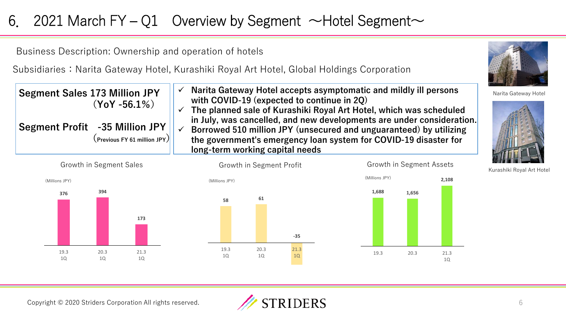# 6. 2021 March FY – Q1 Overview by Segment  $\sim$  Hotel Segment $\sim$

Business Description: Ownership and operation of hotels

Subsidiaries: Narita Gateway Hotel, Kurashiki Royal Art Hotel, Global Holdings Corporation

| <b>Segment Sales 173 Million JPY</b><br>$(YoY - 56.1\%)$                                  | Narita Gateway Hotel accepts asymptomatic and mildly ill persons<br>with COVID-19 (expected to continue in 2Q)<br>The planned sale of Kurashiki Royal Art Hotel, which was scheduled                                                               |
|-------------------------------------------------------------------------------------------|----------------------------------------------------------------------------------------------------------------------------------------------------------------------------------------------------------------------------------------------------|
| Segment Profit -35 Million JPY $  \nabla$<br>$\left($ Previous FY 61 million JPY $\left)$ | in July, was cancelled, and new developments are under consideration.<br>Borrowed 510 million JPY (unsecured and unguaranteed) by utilizing<br>the government's emergency loan system for COVID-19 disaster for<br>long-term working capital needs |











Narita Gateway Hotel



Kurashiki Royal Art Hotel



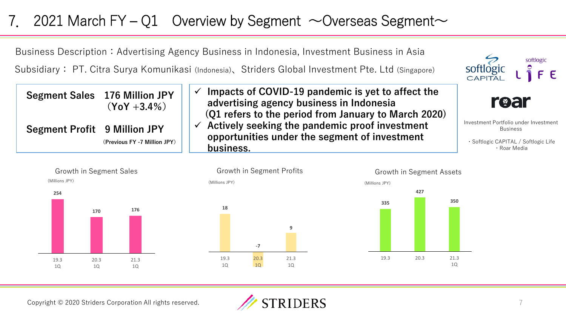# 7. 2021 March FY – Q1 Overview by Segment  $\sim$  Overseas Segment $\sim$

Business Description: Advertising Agency Business in Indonesia, Investment Business in Asia

Subsidiary: PT. Citra Surya Komunikasi (Indonesia)、Striders Global Investment Pte. Ltd (Singapore)

|                                     | <b>Segment Sales 176 Million JPY</b><br>$(Y_0Y + 3.4\%)$ | Impacts of COVID-19 pandemic is yet to affect the<br>advertising agency business in Indonesia<br>(Q1 refers to the period from January to March 2020) | roar                                                 |
|-------------------------------------|----------------------------------------------------------|-------------------------------------------------------------------------------------------------------------------------------------------------------|------------------------------------------------------|
| <b>Segment Profit 9 Million JPY</b> |                                                          | Actively seeking the pandemic proof investment                                                                                                        | Investment Portfolio under Investment<br>Business    |
|                                     | (Previous FY -7 Million JPY)                             | opportunities under the segment of investment<br>business.                                                                                            | · Softlogic CAPITAL / Softlogic Life<br>• Roar Media |







Growth in Segment Sales Growth in Segment Profits Growth in Segment Assets (Millions JPY) (Millions JPY) (Millions JPY)



softlogic

 $F E$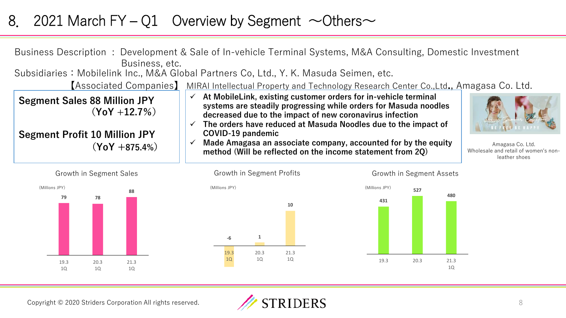#### 8. 2021 March FY – Q1 Overview by Segment  $\sim$ Others $\sim$









Copyright © 2020 Striders Corporation All rights reserved.